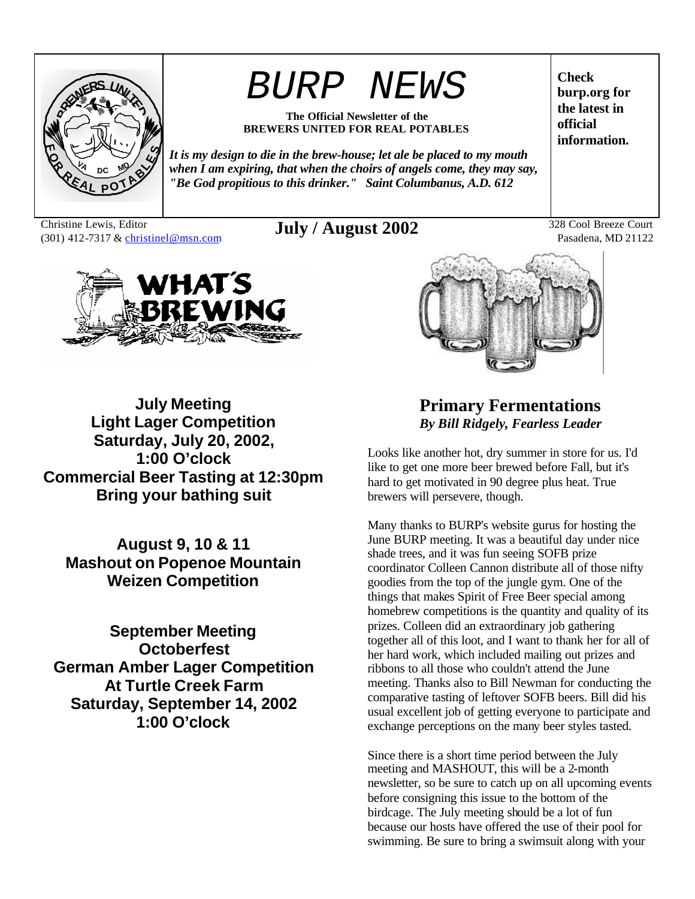

# *BURP NEWS*

**The Official Newsletter of the BREWERS UNITED FOR REAL POTABLES**

*It is my design to die in the brew-house; let ale be placed to my mouth when I am expiring, that when the choirs of angels come, they may say, "Be God propitious to this drinker." Saint Columbanus, A.D. 612*

Christine Lewis, Editor (301) 412-7317 & christinel@msn.com **July / August 2002** 328 Cool Breeze Court



**July Meeting Light Lager Competition Saturday, July 20, 2002, 1:00 O'clock Commercial Beer Tasting at 12:30pm Bring your bathing suit**

**August 9, 10 & 11 Mashout on Popenoe Mountain Weizen Competition**

**September Meeting Octoberfest German Amber Lager Competition At Turtle Creek Farm Saturday, September 14, 2002 1:00 O'clock**

**burp.org for the latest in official information.**

**Check** 

Pasadena, MD 21122



**Primary Fermentations** *By Bill Ridgely, Fearless Leader*

Looks like another hot, dry summer in store for us. I'd like to get one more beer brewed before Fall, but it's hard to get motivated in 90 degree plus heat. True brewers will persevere, though.

Many thanks to BURP's website gurus for hosting the June BURP meeting. It was a beautiful day under nice shade trees, and it was fun seeing SOFB prize coordinator Colleen Cannon distribute all of those nifty goodies from the top of the jungle gym. One of the things that makes Spirit of Free Beer special among homebrew competitions is the quantity and quality of its prizes. Colleen did an extraordinary job gathering together all of this loot, and I want to thank her for all of her hard work, which included mailing out prizes and ribbons to all those who couldn't attend the June meeting. Thanks also to Bill Newman for conducting the comparative tasting of leftover SOFB beers. Bill did his usual excellent job of getting everyone to participate and exchange perceptions on the many beer styles tasted.

Since there is a short time period between the July meeting and MASHOUT, this will be a 2-month newsletter, so be sure to catch up on all upcoming events before consigning this issue to the bottom of the birdcage. The July meeting should be a lot of fun because our hosts have offered the use of their pool for swimming. Be sure to bring a swimsuit along with your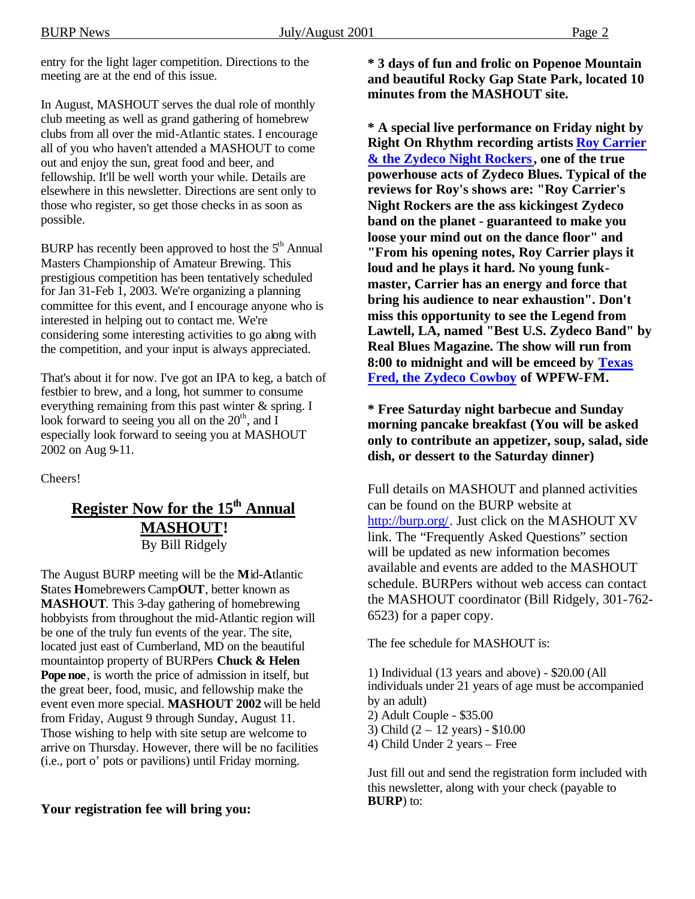entry for the light lager competition. Directions to the meeting are at the end of this issue.

In August, MASHOUT serves the dual role of monthly club meeting as well as grand gathering of homebrew clubs from all over the mid-Atlantic states. I encourage all of you who haven't attended a MASHOUT to come out and enjoy the sun, great food and beer, and fellowship. It'll be well worth your while. Details are elsewhere in this newsletter. Directions are sent only to those who register, so get those checks in as soon as possible.

BURP has recently been approved to host the  $5<sup>th</sup>$  Annual Masters Championship of Amateur Brewing. This prestigious competition has been tentatively scheduled for Jan 31-Feb 1, 2003. We're organizing a planning committee for this event, and I encourage anyone who is interested in helping out to contact me. We're considering some interesting activities to go along with the competition, and your input is always appreciated.

That's about it for now. I've got an IPA to keg, a batch of festbier to brew, and a long, hot summer to consume everything remaining from this past winter & spring. I look forward to seeing you all on the  $20<sup>th</sup>$ , and I especially look forward to seeing you at MASHOUT 2002 on Aug 9-11.

Cheers!

# **Register Now for the 15th Annual MASHOUT!** By Bill Ridgely

The August BURP meeting will be the **M**id-**A**tlantic **S**tates **H**omebrewers Camp**OUT**, better known as **MASHOUT**. This 3-day gathering of homebrewing hobbyists from throughout the mid-Atlantic region will be one of the truly fun events of the year. The site, located just east of Cumberland, MD on the beautiful mountaintop property of BURPers **Chuck & Helen Pope noe**, is worth the price of admission in itself, but the great beer, food, music, and fellowship make the event even more special. **MASHOUT 2002** will be held from Friday, August 9 through Sunday, August 11. Those wishing to help with site setup are welcome to arrive on Thursday. However, there will be no facilities (i.e., port o' pots or pavilions) until Friday morning.

**Your registration fee will bring you:**

**\* 3 days of fun and frolic on Popenoe Mountain and beautiful Rocky Gap State Park, located 10 minutes from the MASHOUT site.**

**\* A special live performance on Friday night by Right On Rhythm recording artists Roy Carrier & the Zydeco Night Rockers, one of the true powerhouse acts of Zydeco Blues. Typical of the reviews for Roy's shows are: "Roy Carrier's Night Rockers are the ass kickingest Zydeco band on the planet - guaranteed to make you loose your mind out on the dance floor" and "From his opening notes, Roy Carrier plays it loud and he plays it hard. No young funkmaster, Carrier has an energy and force that bring his audience to near exhaustion". Don't miss this opportunity to see the Legend from Lawtell, LA, named "Best U.S. Zydeco Band" by Real Blues Magazine. The show will run from 8:00 to midnight and will be emceed by Texas Fred, the Zydeco Cowboy of WPFW-FM.**

**\* Free Saturday night barbecue and Sunday morning pancake breakfast (You will be asked only to contribute an appetizer, soup, salad, side dish, or dessert to the Saturday dinner)**

Full details on MASHOUT and planned activities can be found on the BURP website at http://burp.org/. Just click on the MASHOUT XV link. The "Frequently Asked Questions" section will be updated as new information becomes available and events are added to the MASHOUT schedule. BURPers without web access can contact the MASHOUT coordinator (Bill Ridgely, 301-762- 6523) for a paper copy.

The fee schedule for MASHOUT is:

1) Individual (13 years and above) - \$20.00 (All individuals under 21 years of age must be accompanied by an adult) 2) Adult Couple - \$35.00 3) Child (2 – 12 years) - \$10.00 4) Child Under 2 years – Free

Just fill out and send the registration form included with this newsletter, along with your check (payable to **BURP**) to: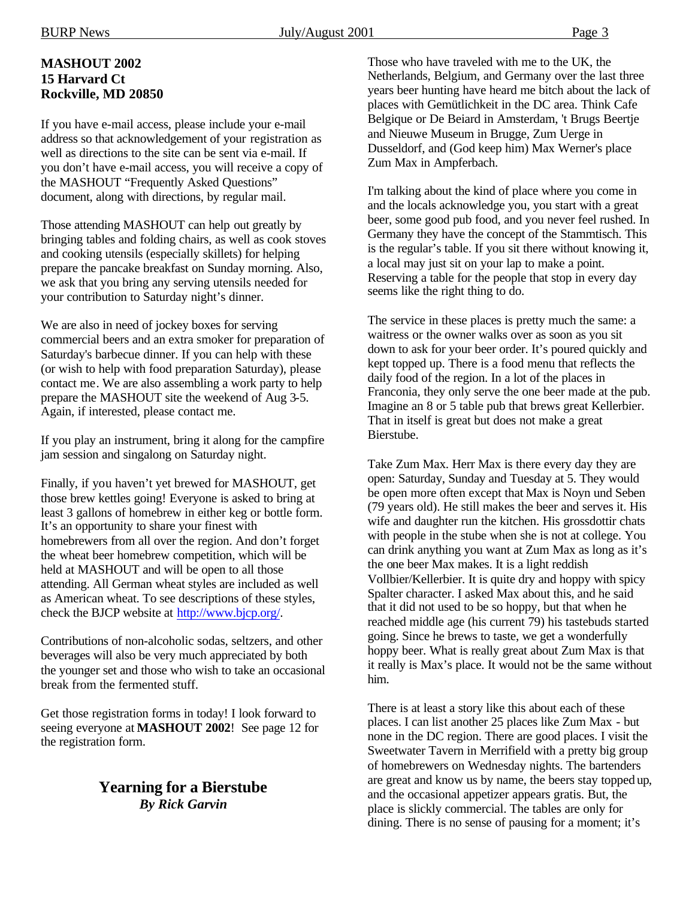#### **MASHOUT 2002 15 Harvard Ct Rockville, MD 20850**

If you have e-mail access, please include your e-mail address so that acknowledgement of your registration as well as directions to the site can be sent via e-mail. If you don't have e-mail access, you will receive a copy of the MASHOUT "Frequently Asked Questions" document, along with directions, by regular mail.

Those attending MASHOUT can help out greatly by bringing tables and folding chairs, as well as cook stoves and cooking utensils (especially skillets) for helping prepare the pancake breakfast on Sunday morning. Also, we ask that you bring any serving utensils needed for your contribution to Saturday night's dinner.

We are also in need of jockey boxes for serving commercial beers and an extra smoker for preparation of Saturday's barbecue dinner. If you can help with these (or wish to help with food preparation Saturday), please contact me. We are also assembling a work party to help prepare the MASHOUT site the weekend of Aug 3-5. Again, if interested, please contact me.

If you play an instrument, bring it along for the campfire jam session and singalong on Saturday night.

Finally, if you haven't yet brewed for MASHOUT, get those brew kettles going! Everyone is asked to bring at least 3 gallons of homebrew in either keg or bottle form. It's an opportunity to share your finest with homebrewers from all over the region. And don't forget the wheat beer homebrew competition, which will be held at MASHOUT and will be open to all those attending. All German wheat styles are included as well as American wheat. To see descriptions of these styles, check the BJCP website at http://www.bjcp.org/.

Contributions of non-alcoholic sodas, seltzers, and other beverages will also be very much appreciated by both the younger set and those who wish to take an occasional break from the fermented stuff.

Get those registration forms in today! I look forward to seeing everyone at **MASHOUT 2002**! See page 12 for the registration form.

### **Yearning for a Bierstube** *By Rick Garvin*

Those who have traveled with me to the UK, the Netherlands, Belgium, and Germany over the last three years beer hunting have heard me bitch about the lack of places with Gemütlichkeit in the DC area. Think Cafe Belgique or De Beiard in Amsterdam, 't Brugs Beertje and Nieuwe Museum in Brugge, Zum Uerge in Dusseldorf, and (God keep him) Max Werner's place Zum Max in Ampferbach.

I'm talking about the kind of place where you come in and the locals acknowledge you, you start with a great beer, some good pub food, and you never feel rushed. In Germany they have the concept of the Stammtisch. This is the regular's table. If you sit there without knowing it, a local may just sit on your lap to make a point. Reserving a table for the people that stop in every day seems like the right thing to do.

The service in these places is pretty much the same: a waitress or the owner walks over as soon as you sit down to ask for your beer order. It's poured quickly and kept topped up. There is a food menu that reflects the daily food of the region. In a lot of the places in Franconia, they only serve the one beer made at the pub. Imagine an 8 or 5 table pub that brews great Kellerbier. That in itself is great but does not make a great Bierstube.

Take Zum Max. Herr Max is there every day they are open: Saturday, Sunday and Tuesday at 5. They would be open more often except that Max is Noyn und Seben (79 years old). He still makes the beer and serves it. His wife and daughter run the kitchen. His grossdottir chats with people in the stube when she is not at college. You can drink anything you want at Zum Max as long as it's the one beer Max makes. It is a light reddish Vollbier/Kellerbier. It is quite dry and hoppy with spicy Spalter character. I asked Max about this, and he said that it did not used to be so hoppy, but that when he reached middle age (his current 79) his tastebuds started going. Since he brews to taste, we get a wonderfully hoppy beer. What is really great about Zum Max is that it really is Max's place. It would not be the same without him.

There is at least a story like this about each of these places. I can list another 25 places like Zum Max - but none in the DC region. There are good places. I visit the Sweetwater Tavern in Merrifield with a pretty big group of homebrewers on Wednesday nights. The bartenders are great and know us by name, the beers stay topped up, and the occasional appetizer appears gratis. But, the place is slickly commercial. The tables are only for dining. There is no sense of pausing for a moment; it's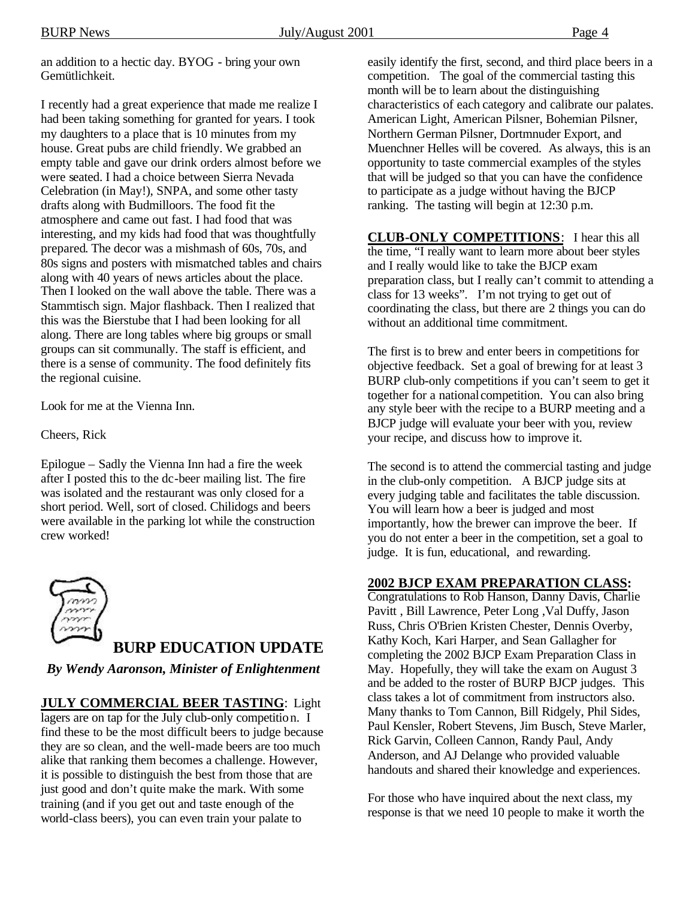an addition to a hectic day. BYOG - bring your own Gemütlichkeit.

I recently had a great experience that made me realize I had been taking something for granted for years. I took my daughters to a place that is 10 minutes from my house. Great pubs are child friendly. We grabbed an empty table and gave our drink orders almost before we were seated. I had a choice between Sierra Nevada Celebration (in May!), SNPA, and some other tasty drafts along with Budmilloors. The food fit the atmosphere and came out fast. I had food that was interesting, and my kids had food that was thoughtfully prepared. The decor was a mishmash of 60s, 70s, and 80s signs and posters with mismatched tables and chairs along with 40 years of news articles about the place. Then I looked on the wall above the table. There was a Stammtisch sign. Major flashback. Then I realized that this was the Bierstube that I had been looking for all along. There are long tables where big groups or small groups can sit communally. The staff is efficient, and there is a sense of community. The food definitely fits the regional cuisine.

Look for me at the Vienna Inn.

Cheers, Rick

Epilogue – Sadly the Vienna Inn had a fire the week after I posted this to the dc-beer mailing list. The fire was isolated and the restaurant was only closed for a short period. Well, sort of closed. Chilidogs and beers were available in the parking lot while the construction crew worked!



### **BURP EDUCATION UPDATE**

*By Wendy Aaronson, Minister of Enlightenment*

### **JULY COMMERCIAL BEER TASTING**: Light

lagers are on tap for the July club-only competition. I find these to be the most difficult beers to judge because they are so clean, and the well-made beers are too much alike that ranking them becomes a challenge. However, it is possible to distinguish the best from those that are just good and don't quite make the mark. With some training (and if you get out and taste enough of the world-class beers), you can even train your palate to

easily identify the first, second, and third place beers in a competition. The goal of the commercial tasting this month will be to learn about the distinguishing characteristics of each category and calibrate our palates. American Light, American Pilsner, Bohemian Pilsner, Northern German Pilsner, Dortmnuder Export, and Muenchner Helles will be covered. As always, this is an opportunity to taste commercial examples of the styles that will be judged so that you can have the confidence to participate as a judge without having the BJCP ranking. The tasting will begin at 12:30 p.m.

**CLUB-ONLY COMPETITIONS**: I hear this all the time, "I really want to learn more about beer styles and I really would like to take the BJCP exam preparation class, but I really can't commit to attending a class for 13 weeks". I'm not trying to get out of coordinating the class, but there are 2 things you can do without an additional time commitment.

The first is to brew and enter beers in competitions for objective feedback. Set a goal of brewing for at least 3 BURP club-only competitions if you can't seem to get it together for a national competition. You can also bring any style beer with the recipe to a BURP meeting and a BJCP judge will evaluate your beer with you, review your recipe, and discuss how to improve it.

The second is to attend the commercial tasting and judge in the club-only competition. A BJCP judge sits at every judging table and facilitates the table discussion. You will learn how a beer is judged and most importantly, how the brewer can improve the beer. If you do not enter a beer in the competition, set a goal to judge. It is fun, educational, and rewarding.

#### **2002 BJCP EXAM PREPARATION CLASS:**

Congratulations to Rob Hanson, Danny Davis, Charlie Pavitt , Bill Lawrence, Peter Long ,Val Duffy, Jason Russ, Chris O'Brien Kristen Chester, Dennis Overby, Kathy Koch, Kari Harper, and Sean Gallagher for completing the 2002 BJCP Exam Preparation Class in May. Hopefully, they will take the exam on August 3 and be added to the roster of BURP BJCP judges. This class takes a lot of commitment from instructors also. Many thanks to Tom Cannon, Bill Ridgely, Phil Sides, Paul Kensler, Robert Stevens, Jim Busch, Steve Marler, Rick Garvin, Colleen Cannon, Randy Paul, Andy Anderson, and AJ Delange who provided valuable handouts and shared their knowledge and experiences.

For those who have inquired about the next class, my response is that we need 10 people to make it worth the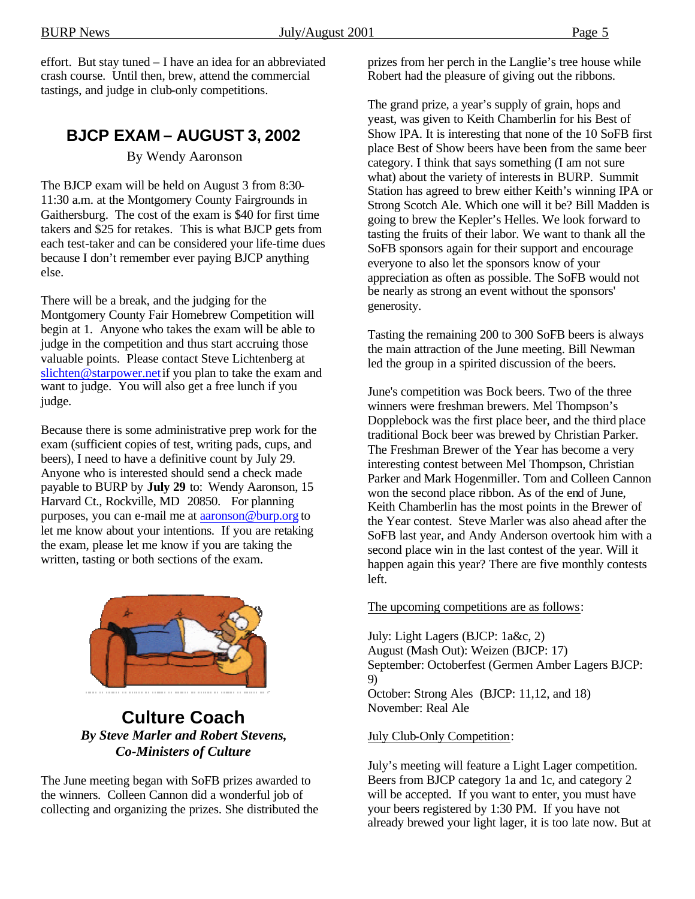effort. But stay tuned – I have an idea for an abbreviated crash course. Until then, brew, attend the commercial tastings, and judge in club-only competitions.

# **BJCP EXAM – AUGUST 3, 2002**

By Wendy Aaronson

The BJCP exam will be held on August 3 from 8:30- 11:30 a.m. at the Montgomery County Fairgrounds in Gaithersburg. The cost of the exam is \$40 for first time takers and \$25 for retakes. This is what BJCP gets from each test-taker and can be considered your life-time dues because I don't remember ever paying BJCP anything else.

There will be a break, and the judging for the Montgomery County Fair Homebrew Competition will begin at 1. Anyone who takes the exam will be able to judge in the competition and thus start accruing those valuable points. Please contact Steve Lichtenberg at slichten@starpower.net if you plan to take the exam and want to judge. You will also get a free lunch if you judge.

Because there is some administrative prep work for the exam (sufficient copies of test, writing pads, cups, and beers), I need to have a definitive count by July 29. Anyone who is interested should send a check made payable to BURP by **July 29** to: Wendy Aaronson, 15 Harvard Ct., Rockville, MD 20850. For planning purposes, you can e-mail me at aaronson@burp.org to let me know about your intentions. If you are retaking the exam, please let me know if you are taking the written, tasting or both sections of the exam.



**Culture Coach** *By Steve Marler and Robert Stevens, Co-Ministers of Culture*

The June meeting began with SoFB prizes awarded to the winners. Colleen Cannon did a wonderful job of collecting and organizing the prizes. She distributed the prizes from her perch in the Langlie's tree house while Robert had the pleasure of giving out the ribbons.

The grand prize, a year's supply of grain, hops and yeast, was given to Keith Chamberlin for his Best of Show IPA. It is interesting that none of the 10 SoFB first place Best of Show beers have been from the same beer category. I think that says something (I am not sure what) about the variety of interests in BURP. Summit Station has agreed to brew either Keith's winning IPA or Strong Scotch Ale. Which one will it be? Bill Madden is going to brew the Kepler's Helles. We look forward to tasting the fruits of their labor. We want to thank all the SoFB sponsors again for their support and encourage everyone to also let the sponsors know of your appreciation as often as possible. The SoFB would not be nearly as strong an event without the sponsors' generosity.

Tasting the remaining 200 to 300 SoFB beers is always the main attraction of the June meeting. Bill Newman led the group in a spirited discussion of the beers.

June's competition was Bock beers. Two of the three winners were freshman brewers. Mel Thompson's Dopplebock was the first place beer, and the third place traditional Bock beer was brewed by Christian Parker. The Freshman Brewer of the Year has become a very interesting contest between Mel Thompson, Christian Parker and Mark Hogenmiller. Tom and Colleen Cannon won the second place ribbon. As of the end of June, Keith Chamberlin has the most points in the Brewer of the Year contest. Steve Marler was also ahead after the SoFB last year, and Andy Anderson overtook him with a second place win in the last contest of the year. Will it happen again this year? There are five monthly contests left.

#### The upcoming competitions are as follows:

July: Light Lagers (BJCP: 1a&c, 2) August (Mash Out): Weizen (BJCP: 17) September: Octoberfest (Germen Amber Lagers BJCP: 9) October: Strong Ales (BJCP: 11,12, and 18) November: Real Ale

#### July Club-Only Competition:

July's meeting will feature a Light Lager competition. Beers from BJCP category 1a and 1c, and category 2 will be accepted. If you want to enter, you must have your beers registered by 1:30 PM. If you have not already brewed your light lager, it is too late now. But at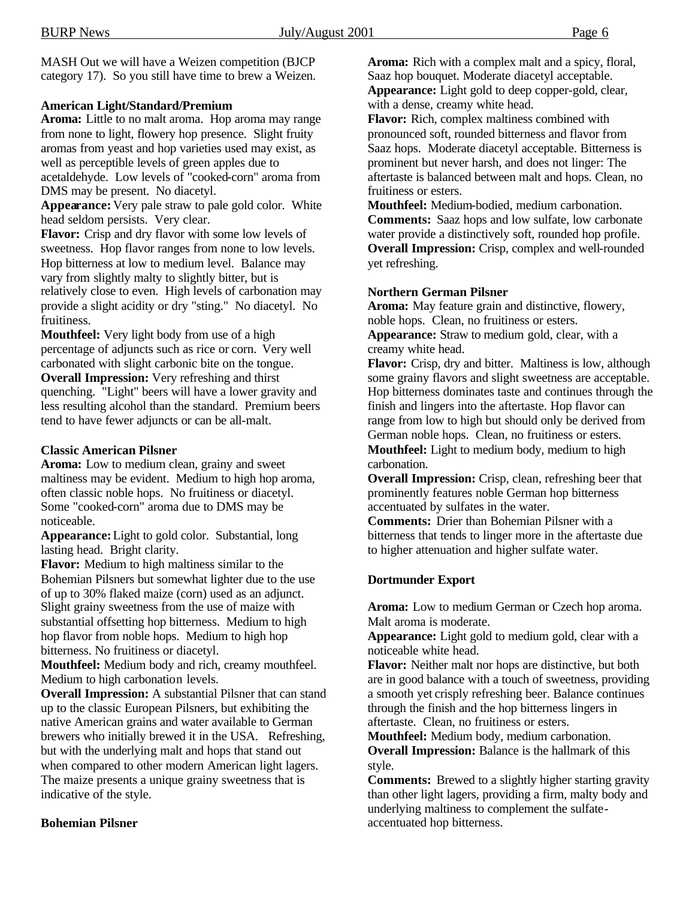MASH Out we will have a Weizen competition (BJCP category 17). So you still have time to brew a Weizen.

#### **American Light/Standard/Premium**

**Aroma:** Little to no malt aroma. Hop aroma may range from none to light, flowery hop presence. Slight fruity aromas from yeast and hop varieties used may exist, as well as perceptible levels of green apples due to acetaldehyde. Low levels of "cooked-corn" aroma from DMS may be present. No diacetyl.

**Appearance:** Very pale straw to pale gold color. White head seldom persists. Very clear.

**Flavor:** Crisp and dry flavor with some low levels of sweetness. Hop flavor ranges from none to low levels. Hop bitterness at low to medium level. Balance may vary from slightly malty to slightly bitter, but is relatively close to even. High levels of carbonation may provide a slight acidity or dry "sting." No diacetyl. No fruitiness.

**Mouthfeel:** Very light body from use of a high percentage of adjuncts such as rice or corn. Very well carbonated with slight carbonic bite on the tongue. **Overall Impression:** Very refreshing and thirst quenching. "Light" beers will have a lower gravity and less resulting alcohol than the standard. Premium beers tend to have fewer adjuncts or can be all-malt.

#### **Classic American Pilsner**

**Aroma:** Low to medium clean, grainy and sweet maltiness may be evident. Medium to high hop aroma, often classic noble hops. No fruitiness or diacetyl. Some "cooked-corn" aroma due to DMS may be noticeable.

**Appearance:** Light to gold color. Substantial, long lasting head. Bright clarity.

**Flavor:** Medium to high maltiness similar to the Bohemian Pilsners but somewhat lighter due to the use of up to 30% flaked maize (corn) used as an adjunct. Slight grainy sweetness from the use of maize with substantial offsetting hop bitterness. Medium to high hop flavor from noble hops. Medium to high hop bitterness. No fruitiness or diacetyl.

**Mouthfeel:** Medium body and rich, creamy mouthfeel. Medium to high carbonation levels.

**Overall Impression:** A substantial Pilsner that can stand up to the classic European Pilsners, but exhibiting the native American grains and water available to German brewers who initially brewed it in the USA. Refreshing, but with the underlying malt and hops that stand out when compared to other modern American light lagers. The maize presents a unique grainy sweetness that is indicative of the style.

#### **Bohemian Pilsner**

**Aroma:** Rich with a complex malt and a spicy, floral, Saaz hop bouquet. Moderate diacetyl acceptable. **Appearance:** Light gold to deep copper-gold, clear, with a dense, creamy white head.

**Flavor:** Rich, complex maltiness combined with pronounced soft, rounded bitterness and flavor from Saaz hops. Moderate diacetyl acceptable. Bitterness is prominent but never harsh, and does not linger: The aftertaste is balanced between malt and hops. Clean, no fruitiness or esters.

**Mouthfeel:** Medium-bodied, medium carbonation. **Comments:** Saaz hops and low sulfate, low carbonate water provide a distinctively soft, rounded hop profile. **Overall Impression:** Crisp, complex and well-rounded yet refreshing.

#### **Northern German Pilsner**

**Aroma:** May feature grain and distinctive, flowery, noble hops. Clean, no fruitiness or esters.

**Appearance:** Straw to medium gold, clear, with a creamy white head.

**Flavor:** Crisp, dry and bitter. Maltiness is low, although some grainy flavors and slight sweetness are acceptable. Hop bitterness dominates taste and continues through the finish and lingers into the aftertaste. Hop flavor can range from low to high but should only be derived from German noble hops. Clean, no fruitiness or esters. **Mouthfeel:** Light to medium body, medium to high carbonation.

**Overall Impression:** Crisp, clean, refreshing beer that prominently features noble German hop bitterness accentuated by sulfates in the water.

**Comments:** Drier than Bohemian Pilsner with a bitterness that tends to linger more in the aftertaste due to higher attenuation and higher sulfate water.

#### **Dortmunder Export**

**Aroma:** Low to medium German or Czech hop aroma. Malt aroma is moderate.

**Appearance:** Light gold to medium gold, clear with a noticeable white head.

**Flavor:** Neither malt nor hops are distinctive, but both are in good balance with a touch of sweetness, providing a smooth yet crisply refreshing beer. Balance continues through the finish and the hop bitterness lingers in aftertaste. Clean, no fruitiness or esters.

**Mouthfeel:** Medium body, medium carbonation. **Overall Impression:** Balance is the hallmark of this style.

**Comments:** Brewed to a slightly higher starting gravity than other light lagers, providing a firm, malty body and underlying maltiness to complement the sulfateaccentuated hop bitterness.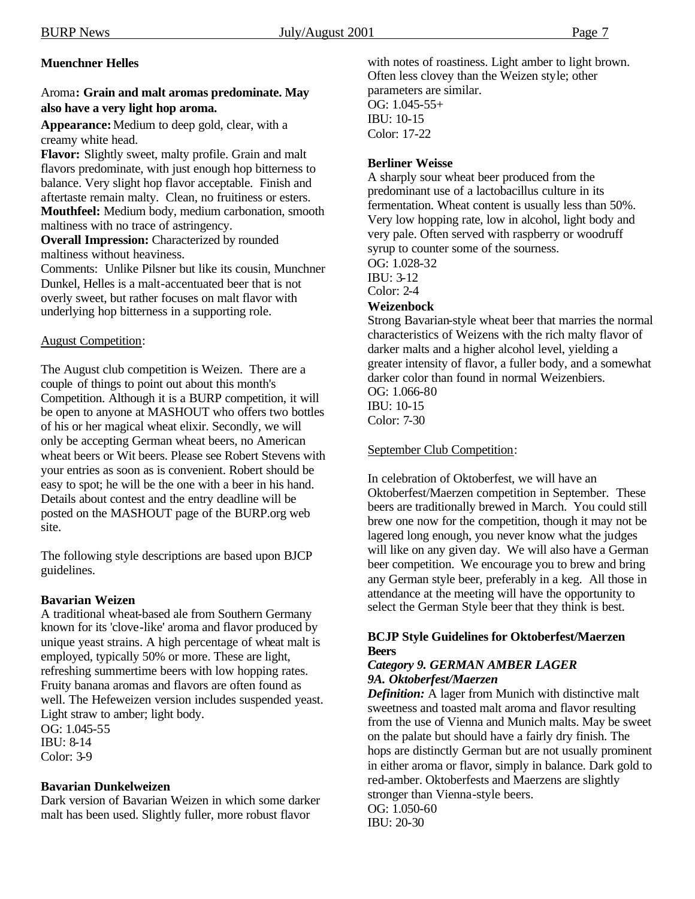#### **Muenchner Helles**

#### Aroma**: Grain and malt aromas predominate. May also have a very light hop aroma.**

**Appearance:** Medium to deep gold, clear, with a creamy white head.

**Flavor:** Slightly sweet, malty profile. Grain and malt flavors predominate, with just enough hop bitterness to balance. Very slight hop flavor acceptable. Finish and aftertaste remain malty. Clean, no fruitiness or esters. **Mouthfeel:** Medium body, medium carbonation, smooth maltiness with no trace of astringency. **Overall Impression:** Characterized by rounded maltiness without heaviness.

Comments: Unlike Pilsner but like its cousin, Munchner Dunkel, Helles is a malt-accentuated beer that is not overly sweet, but rather focuses on malt flavor with underlying hop bitterness in a supporting role.

#### August Competition:

The August club competition is Weizen. There are a couple of things to point out about this month's Competition. Although it is a BURP competition, it will be open to anyone at MASHOUT who offers two bottles of his or her magical wheat elixir. Secondly, we will only be accepting German wheat beers, no American wheat beers or Wit beers. Please see Robert Stevens with your entries as soon as is convenient. Robert should be easy to spot; he will be the one with a beer in his hand. Details about contest and the entry deadline will be posted on the MASHOUT page of the BURP.org web site.

The following style descriptions are based upon BJCP guidelines.

#### **Bavarian Weizen**

A traditional wheat-based ale from Southern Germany known for its 'clove-like' aroma and flavor produced by unique yeast strains. A high percentage of wheat malt is employed, typically 50% or more. These are light, refreshing summertime beers with low hopping rates. Fruity banana aromas and flavors are often found as well. The Hefeweizen version includes suspended yeast. Light straw to amber; light body. OG: 1.045-55

IBU: 8-14 Color: 3-9

#### **Bavarian Dunkelweizen**

Dark version of Bavarian Weizen in which some darker malt has been used. Slightly fuller, more robust flavor

with notes of roastiness. Light amber to light brown. Often less clovey than the Weizen style; other parameters are similar. OG: 1.045-55+ IBU: 10-15 Color: 17-22

#### **Berliner Weisse**

A sharply sour wheat beer produced from the predominant use of a lactobacillus culture in its fermentation. Wheat content is usually less than 50%. Very low hopping rate, low in alcohol, light body and very pale. Often served with raspberry or woodruff syrup to counter some of the sourness. OG: 1.028-32 IBU: 3-12 Color: 2-4 **Weizenbock** Strong Bavarian-style wheat beer that marries the normal

characteristics of Weizens with the rich malty flavor of darker malts and a higher alcohol level, yielding a greater intensity of flavor, a fuller body, and a somewhat darker color than found in normal Weizenbiers. OG: 1.066-80

IBU: 10-15 Color: 7-30

#### September Club Competition:

In celebration of Oktoberfest, we will have an Oktoberfest/Maerzen competition in September. These beers are traditionally brewed in March. You could still brew one now for the competition, though it may not be lagered long enough, you never know what the judges will like on any given day. We will also have a German beer competition. We encourage you to brew and bring any German style beer, preferably in a keg. All those in attendance at the meeting will have the opportunity to select the German Style beer that they think is best.

#### **BCJP Style Guidelines for Oktoberfest/Maerzen Beers**

#### *Category 9. GERMAN AMBER LAGER 9A. Oktoberfest/Maerzen*

*Definition:* A lager from Munich with distinctive malt sweetness and toasted malt aroma and flavor resulting from the use of Vienna and Munich malts. May be sweet on the palate but should have a fairly dry finish. The hops are distinctly German but are not usually prominent in either aroma or flavor, simply in balance. Dark gold to red-amber. Oktoberfests and Maerzens are slightly stronger than Vienna-style beers. OG: 1.050-60 IBU: 20-30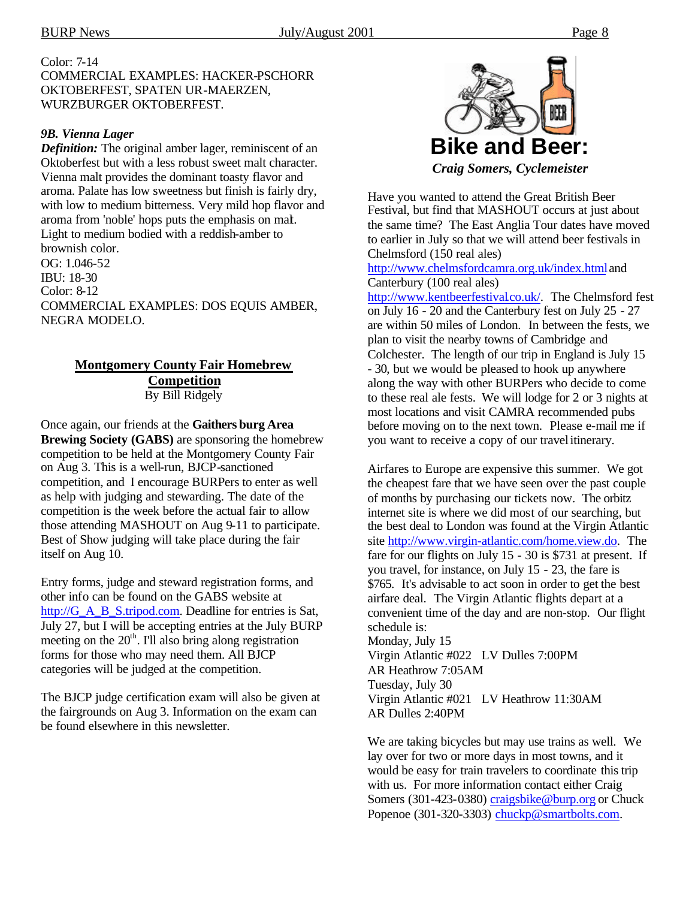#### Color: 7-14 COMMERCIAL EXAMPLES: HACKER-PSCHORR OKTOBERFEST, SPATEN UR-MAERZEN, WURZBURGER OKTOBERFEST.

#### *9B. Vienna Lager*

*Definition:* The original amber lager, reminiscent of an Oktoberfest but with a less robust sweet malt character. Vienna malt provides the dominant toasty flavor and aroma. Palate has low sweetness but finish is fairly dry, with low to medium bitterness. Very mild hop flavor and aroma from 'noble' hops puts the emphasis on malt. Light to medium bodied with a reddish-amber to brownish color. OG: 1.046-52 IBU: 18-30 Color: 8-12

COMMERCIAL EXAMPLES: DOS EQUIS AMBER, NEGRA MODELO.

#### **Montgomery County Fair Homebrew Competition** By Bill Ridgely

Once again, our friends at the **Gaithers burg Area Brewing Society (GABS)** are sponsoring the homebrew competition to be held at the Montgomery County Fair on Aug 3. This is a well-run, BJCP-sanctioned competition, and I encourage BURPers to enter as well as help with judging and stewarding. The date of the competition is the week before the actual fair to allow those attending MASHOUT on Aug 9-11 to participate. Best of Show judging will take place during the fair itself on Aug 10.

Entry forms, judge and steward registration forms, and other info can be found on the GABS website at http://G\_A\_B\_S.tripod.com. Deadline for entries is Sat, July 27, but I will be accepting entries at the July BURP meeting on the  $20<sup>th</sup>$ . I'll also bring along registration forms for those who may need them. All BJCP categories will be judged at the competition.

The BJCP judge certification exam will also be given at the fairgrounds on Aug 3. Information on the exam can be found elsewhere in this newsletter.



Have you wanted to attend the Great British Beer Festival, but find that MASHOUT occurs at just about the same time? The East Anglia Tour dates have moved to earlier in July so that we will attend beer festivals in Chelmsford (150 real ales)

http://www.chelmsfordcamra.org.uk/index.html and Canterbury (100 real ales)

http://www.kentbeerfestival.co.uk/. The Chelmsford fest on July 16 - 20 and the Canterbury fest on July 25 - 27 are within 50 miles of London. In between the fests, we plan to visit the nearby towns of Cambridge and Colchester. The length of our trip in England is July 15 - 30, but we would be pleased to hook up anywhere along the way with other BURPers who decide to come to these real ale fests. We will lodge for 2 or 3 nights at most locations and visit CAMRA recommended pubs before moving on to the next town. Please e-mail me if you want to receive a copy of our travel itinerary.

Airfares to Europe are expensive this summer. We got the cheapest fare that we have seen over the past couple of months by purchasing our tickets now. The orbitz internet site is where we did most of our searching, but the best deal to London was found at the Virgin Atlantic site http://www.virgin-atlantic.com/home.view.do. The fare for our flights on July 15 - 30 is \$731 at present. If you travel, for instance, on July 15 - 23, the fare is \$765. It's advisable to act soon in order to get the best airfare deal. The Virgin Atlantic flights depart at a convenient time of the day and are non-stop. Our flight schedule is: Monday, July 15

Virgin Atlantic #022 LV Dulles 7:00PM AR Heathrow 7:05AM Tuesday, July 30 Virgin Atlantic #021 LV Heathrow 11:30AM AR Dulles 2:40PM

We are taking bicycles but may use trains as well. We lay over for two or more days in most towns, and it would be easy for train travelers to coordinate this trip with us. For more information contact either Craig Somers (301-423-0380) craigsbike@burp.org or Chuck Popenoe (301-320-3303) chuckp@smartbolts.com.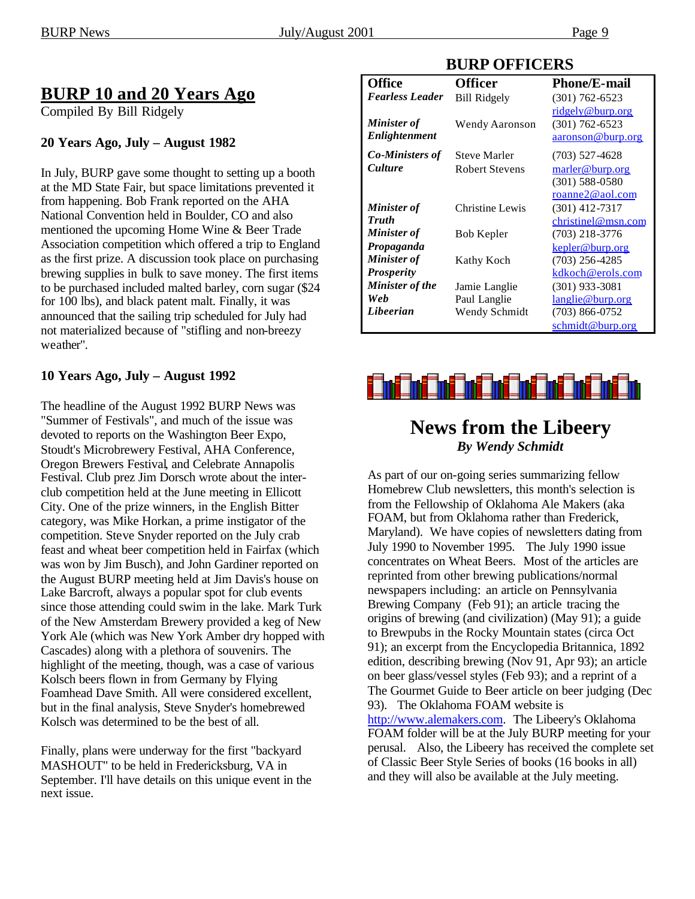# **BURP 10 and 20 Years Ago**

Compiled By Bill Ridgely

#### **20 Years Ago, July – August 1982**

In July, BURP gave some thought to setting up a booth at the MD State Fair, but space limitations prevented it from happening. Bob Frank reported on the AHA National Convention held in Boulder, CO and also mentioned the upcoming Home Wine & Beer Trade Association competition which offered a trip to England as the first prize. A discussion took place on purchasing brewing supplies in bulk to save money. The first items to be purchased included malted barley, corn sugar (\$24 for 100 lbs), and black patent malt. Finally, it was announced that the sailing trip scheduled for July had not materialized because of "stifling and non-breezy weather".

#### **10 Years Ago, July – August 1992**

The headline of the August 1992 BURP News was "Summer of Festivals", and much of the issue was devoted to reports on the Washington Beer Expo, Stoudt's Microbrewery Festival, AHA Conference, Oregon Brewers Festival, and Celebrate Annapolis Festival. Club prez Jim Dorsch wrote about the interclub competition held at the June meeting in Ellicott City. One of the prize winners, in the English Bitter category, was Mike Horkan, a prime instigator of the competition. Steve Snyder reported on the July crab feast and wheat beer competition held in Fairfax (which was won by Jim Busch), and John Gardiner reported on the August BURP meeting held at Jim Davis's house on Lake Barcroft, always a popular spot for club events since those attending could swim in the lake. Mark Turk of the New Amsterdam Brewery provided a keg of New York Ale (which was New York Amber dry hopped with Cascades) along with a plethora of souvenirs. The highlight of the meeting, though, was a case of various Kolsch beers flown in from Germany by Flying Foamhead Dave Smith. All were considered excellent, but in the final analysis, Steve Snyder's homebrewed Kolsch was determined to be the best of all.

Finally, plans were underway for the first "backyard MASHOUT" to be held in Fredericksburg, VA in September. I'll have details on this unique event in the next issue.

# **BURP OFFICERS**

| <b>Office</b>                       | Officer                       | <b>Phone/E-mail</b>                                         |
|-------------------------------------|-------------------------------|-------------------------------------------------------------|
| <b>Fearless Leader</b>              | <b>Bill Ridgely</b>           | $(301)$ 762-6523                                            |
| <b>Minister</b> of<br>Enlightenment | Wendy Aaronson                | ridgely@burp.org<br>$(301) 762 - 6523$<br>aaronson@burp.org |
| <b>Co-Ministers of</b>              | <b>Steve Marler</b>           | $(703)$ 527-4628                                            |
| <b>Culture</b>                      | <b>Robert Stevens</b>         | marler@burp.org                                             |
|                                     |                               | $(301)$ 588-0580                                            |
| <b>Minister of</b>                  | Christine Lewis               | roanne2@aol.com<br>$(301)$ 412-7317                         |
| <b>Truth</b>                        |                               | christinel@msn.com                                          |
| <b>Minister</b> of                  | Bob Kepler                    | $(703)$ 218-3776                                            |
| Propaganda                          |                               | kepler@burp.org                                             |
| <b>Minister of</b>                  | Kathy Koch                    | (703) 256-4285                                              |
| <b>Prosperity</b>                   |                               | kdkoch@erols.com                                            |
| <b>Minister of the</b><br>Web       | Jamie Langlie                 | (301) 933-3081                                              |
| Libeerian                           | Paul Langlie<br>Wendy Schmidt | langlie@burp.org<br>$(703)$ 866-0752                        |
|                                     |                               | schmidt@burp.org                                            |



# **News from the Libeery** *By Wendy Schmidt*

As part of our on-going series summarizing fellow Homebrew Club newsletters, this month's selection is from the Fellowship of Oklahoma Ale Makers (aka FOAM, but from Oklahoma rather than Frederick, Maryland). We have copies of newsletters dating from July 1990 to November 1995. The July 1990 issue concentrates on Wheat Beers. Most of the articles are reprinted from other brewing publications/normal newspapers including: an article on Pennsylvania Brewing Company (Feb 91); an article tracing the origins of brewing (and civilization) (May 91); a guide to Brewpubs in the Rocky Mountain states (circa Oct 91); an excerpt from the Encyclopedia Britannica, 1892 edition, describing brewing (Nov 91, Apr 93); an article on beer glass/vessel styles (Feb 93); and a reprint of a The Gourmet Guide to Beer article on beer judging (Dec 93). The Oklahoma FOAM website is http://www.alemakers.com. The Libeery's Oklahoma FOAM folder will be at the July BURP meeting for your perusal. Also, the Libeery has received the complete set of Classic Beer Style Series of books (16 books in all) and they will also be available at the July meeting.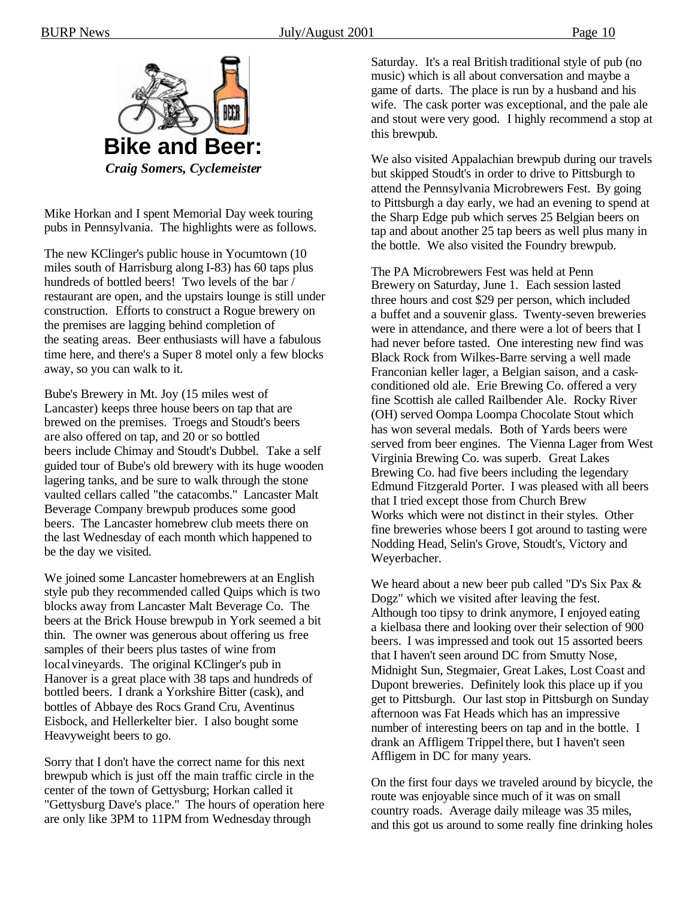

*Craig Somers, Cyclemeister*

Mike Horkan and I spent Memorial Day week touring pubs in Pennsylvania. The highlights were as follows.

The new KClinger's public house in Yocumtown (10 miles south of Harrisburg along I-83) has 60 taps plus hundreds of bottled beers! Two levels of the bar / restaurant are open, and the upstairs lounge is still under construction. Efforts to construct a Rogue brewery on the premises are lagging behind completion of the seating areas. Beer enthusiasts will have a fabulous time here, and there's a Super 8 motel only a few blocks away, so you can walk to it.

Bube's Brewery in Mt. Joy (15 miles west of Lancaster) keeps three house beers on tap that are brewed on the premises. Troegs and Stoudt's beers are also offered on tap, and 20 or so bottled beers include Chimay and Stoudt's Dubbel. Take a self guided tour of Bube's old brewery with its huge wooden lagering tanks, and be sure to walk through the stone vaulted cellars called "the catacombs." Lancaster Malt Beverage Company brewpub produces some good beers. The Lancaster homebrew club meets there on the last Wednesday of each month which happened to be the day we visited.

We joined some Lancaster homebrewers at an English style pub they recommended called Quips which is two blocks away from Lancaster Malt Beverage Co. The beers at the Brick House brewpub in York seemed a bit thin. The owner was generous about offering us free samples of their beers plus tastes of wine from localvineyards. The original KClinger's pub in Hanover is a great place with 38 taps and hundreds of bottled beers. I drank a Yorkshire Bitter (cask), and bottles of Abbaye des Rocs Grand Cru, Aventinus Eisbock, and Hellerkelter bier. I also bought some Heavyweight beers to go.

Sorry that I don't have the correct name for this next brewpub which is just off the main traffic circle in the center of the town of Gettysburg; Horkan called it "Gettysburg Dave's place." The hours of operation here are only like 3PM to 11PM from Wednesday through

Saturday. It's a real British traditional style of pub (no music) which is all about conversation and maybe a game of darts. The place is run by a husband and his wife. The cask porter was exceptional, and the pale ale and stout were very good. I highly recommend a stop at this brewpub.

We also visited Appalachian brewpub during our travels but skipped Stoudt's in order to drive to Pittsburgh to attend the Pennsylvania Microbrewers Fest. By going to Pittsburgh a day early, we had an evening to spend at the Sharp Edge pub which serves 25 Belgian beers on tap and about another 25 tap beers as well plus many in the bottle. We also visited the Foundry brewpub.

The PA Microbrewers Fest was held at Penn Brewery on Saturday, June 1. Each session lasted three hours and cost \$29 per person, which included a buffet and a souvenir glass. Twenty-seven breweries were in attendance, and there were a lot of beers that I had never before tasted. One interesting new find was Black Rock from Wilkes-Barre serving a well made Franconian keller lager, a Belgian saison, and a caskconditioned old ale. Erie Brewing Co. offered a very fine Scottish ale called Railbender Ale. Rocky River (OH) served Oompa Loompa Chocolate Stout which has won several medals. Both of Yards beers were served from beer engines. The Vienna Lager from West Virginia Brewing Co. was superb. Great Lakes Brewing Co. had five beers including the legendary Edmund Fitzgerald Porter. I was pleased with all beers that I tried except those from Church Brew Works which were not distinct in their styles. Other fine breweries whose beers I got around to tasting were Nodding Head, Selin's Grove, Stoudt's, Victory and Weyerbacher.

We heard about a new beer pub called "D's Six Pax & Dogz" which we visited after leaving the fest. Although too tipsy to drink anymore, I enjoyed eating a kielbasa there and looking over their selection of 900 beers. I was impressed and took out 15 assorted beers that I haven't seen around DC from Smutty Nose, Midnight Sun, Stegmaier, Great Lakes, Lost Coast and Dupont breweries. Definitely look this place up if you get to Pittsburgh. Our last stop in Pittsburgh on Sunday afternoon was Fat Heads which has an impressive number of interesting beers on tap and in the bottle. I drank an Affligem Trippel there, but I haven't seen Affligem in DC for many years.

On the first four days we traveled around by bicycle, the route was enjoyable since much of it was on small country roads. Average daily mileage was 35 miles, and this got us around to some really fine drinking holes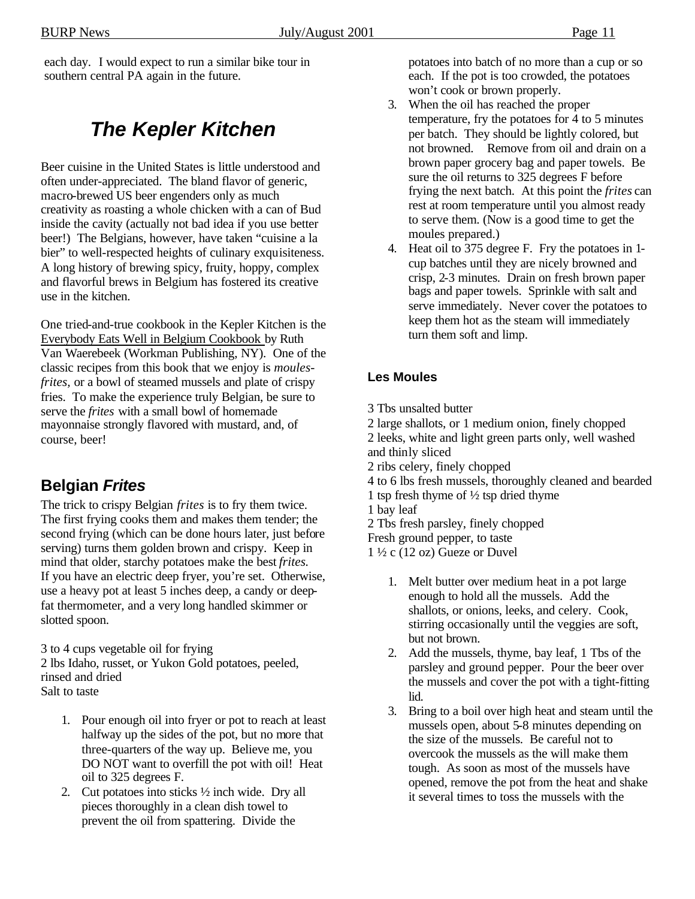each day. I would expect to run a similar bike tour in southern central PA again in the future.

# *The Kepler Kitchen*

Beer cuisine in the United States is little understood and often under-appreciated. The bland flavor of generic, macro-brewed US beer engenders only as much creativity as roasting a whole chicken with a can of Bud inside the cavity (actually not bad idea if you use better beer!) The Belgians, however, have taken "cuisine a la bier" to well-respected heights of culinary exquisiteness. A long history of brewing spicy, fruity, hoppy, complex and flavorful brews in Belgium has fostered its creative use in the kitchen.

One tried-and-true cookbook in the Kepler Kitchen is the Everybody Eats Well in Belgium Cookbook by Ruth Van Waerebeek (Workman Publishing, NY). One of the classic recipes from this book that we enjoy is *moulesfrites,* or a bowl of steamed mussels and plate of crispy fries. To make the experience truly Belgian, be sure to serve the *frites* with a small bowl of homemade mayonnaise strongly flavored with mustard, and, of course, beer!

# **Belgian** *Frites*

The trick to crispy Belgian *frites* is to fry them twice. The first frying cooks them and makes them tender; the second frying (which can be done hours later, just before serving) turns them golden brown and crispy. Keep in mind that older, starchy potatoes make the best *frites.* If you have an electric deep fryer, you're set. Otherwise, use a heavy pot at least 5 inches deep, a candy or deepfat thermometer, and a very long handled skimmer or slotted spoon.

3 to 4 cups vegetable oil for frying 2 lbs Idaho, russet, or Yukon Gold potatoes, peeled, rinsed and dried Salt to taste

- 1. Pour enough oil into fryer or pot to reach at least halfway up the sides of the pot, but no more that three-quarters of the way up. Believe me, you DO NOT want to overfill the pot with oil! Heat oil to 325 degrees F.
- 2. Cut potatoes into sticks ½ inch wide. Dry all pieces thoroughly in a clean dish towel to prevent the oil from spattering. Divide the

potatoes into batch of no more than a cup or so each. If the pot is too crowded, the potatoes won't cook or brown properly.

- 3. When the oil has reached the proper temperature, fry the potatoes for 4 to 5 minutes per batch. They should be lightly colored, but not browned. Remove from oil and drain on a brown paper grocery bag and paper towels. Be sure the oil returns to 325 degrees F before frying the next batch. At this point the *frites* can rest at room temperature until you almost ready to serve them. (Now is a good time to get the moules prepared.)
- 4. Heat oil to 375 degree F. Fry the potatoes in 1 cup batches until they are nicely browned and crisp, 2-3 minutes. Drain on fresh brown paper bags and paper towels. Sprinkle with salt and serve immediately. Never cover the potatoes to keep them hot as the steam will immediately turn them soft and limp.

### **Les Moules**

- 3 Tbs unsalted butter
- 2 large shallots, or 1 medium onion, finely chopped
- 2 leeks, white and light green parts only, well washed and thinly sliced
- 2 ribs celery, finely chopped
- 4 to 6 lbs fresh mussels, thoroughly cleaned and bearded
- 1 tsp fresh thyme of  $\frac{1}{2}$  tsp dried thyme
- 1 bay leaf
- 2 Tbs fresh parsley, finely chopped
- Fresh ground pepper, to taste
- $1\frac{1}{2}$  c (12 oz) Gueze or Duvel
	- 1. Melt butter over medium heat in a pot large enough to hold all the mussels. Add the shallots, or onions, leeks, and celery. Cook, stirring occasionally until the veggies are soft, but not brown.
	- 2. Add the mussels, thyme, bay leaf, 1 Tbs of the parsley and ground pepper. Pour the beer over the mussels and cover the pot with a tight-fitting lid.
	- 3. Bring to a boil over high heat and steam until the mussels open, about 5-8 minutes depending on the size of the mussels. Be careful not to overcook the mussels as the will make them tough. As soon as most of the mussels have opened, remove the pot from the heat and shake it several times to toss the mussels with the